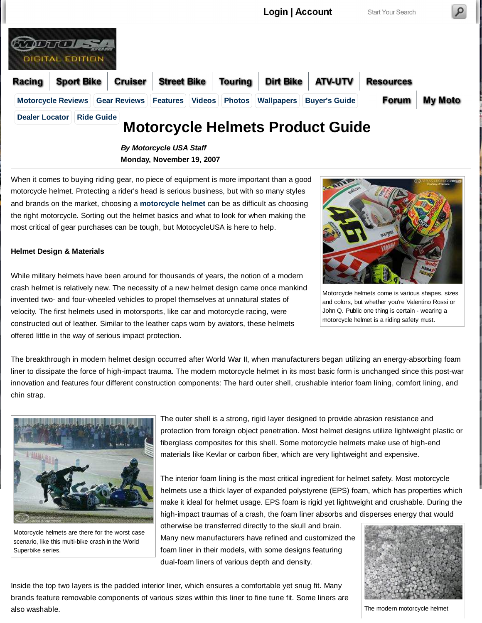

**Monday, November 19, 2007**

When it comes to buying riding gear, no piece of equipment is more important than a good motorcycle helmet. Protecting a rider's head is serious business, but with so many styles and brands on the market, choosing a **motorcycle helmet** can be as difficult as choosing the right motorcycle. Sorting out the helmet basics and what to look for when making the most critical of gear purchases can be tough, but MotocycleUSA is here to help.

#### **Helmet Design & Materials**

While military helmets have been around for thousands of years, the notion of a modern crash helmet is relatively new. The necessity of a new helmet design came once mankind invented two- and four-wheeled vehicles to propel themselves at unnatural states of velocity. The first helmets used in motorsports, like car and motorcycle racing, were constructed out of leather. Similar to the leather caps worn by aviators, these helmets offered little in the way of serious impact protection.



Motorcycle helmets come is various shapes, sizes and colors, but whether you're Valentino Rossi or John Q. Public one thing is certain - wearing a motorcycle helmet is a riding safety must.

The breakthrough in modern helmet design occurred after World War II, when manufacturers began utilizing an energy-absorbing foam liner to dissipate the force of high-impact trauma. The modern motorcycle helmet in its most basic form is unchanged since this post-war innovation and features four different construction components: The hard outer shell, crushable interior foam lining, comfort lining, and chin strap.



Motorcycle helmets are there for the worst case scenario, like this multi-bike crash in the World Superbike series.

The outer shell is a strong, rigid layer designed to provide abrasion resistance and protection from foreign object penetration. Most helmet designs utilize lightweight plastic or fiberglass composites for this shell. Some motorcycle helmets make use of high-end materials like Kevlar or carbon fiber, which are very lightweight and expensive.

The interior foam lining is the most critical ingredient for helmet safety. Most motorcycle helmets use a thick layer of expanded polystyrene (EPS) foam, which has properties which make it ideal for helmet usage. EPS foam is rigid yet lightweight and crushable. During the high-impact traumas of a crash, the foam liner absorbs and disperses energy that would

otherwise be transferred directly to the skull and brain. Many new manufacturers have refined and customized the foam liner in their models, with some designs featuring dual-foam liners of various depth and density.



Inside the top two layers is the padded interior liner, which ensures a comfortable yet snug fit. Many brands feature removable components of various sizes within this liner to fine tune fit. Some liners are also washable.

The modern motorcycle helmet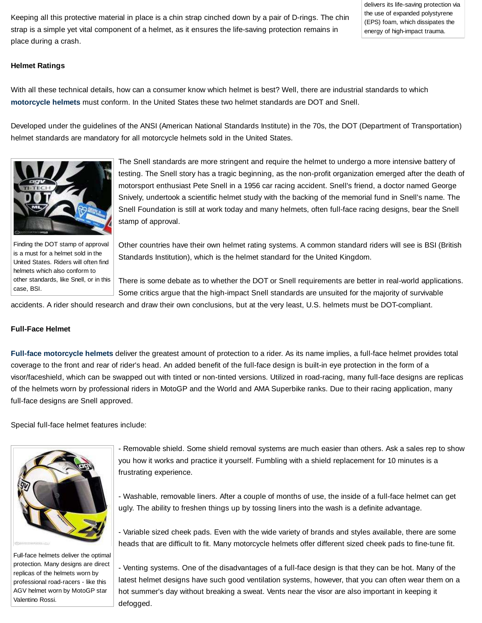Keeping all this protective material in place is a chin strap cinched down by a pair of D-rings. The chin strap is a simple yet vital component of a helmet, as it ensures the life-saving protection remains in place during a crash.

delivers its life-saving protection via the use of expanded polystyrene (EPS) foam, which dissipates the energy of high-impact trauma.

### **Helmet Ratings**

With all these technical details, how can a consumer know which helmet is best? Well, there are industrial standards to which **motorcycle helmets** must conform. In the United States these two helmet standards are DOT and Snell.

Developed under the guidelines of the ANSI (American National Standards Institute) in the 70s, the DOT (Department of Transportation) helmet standards are mandatory for all motorcycle helmets sold in the United States.



The Snell standards are more stringent and require the helmet to undergo a more intensive battery of testing. The Snell story has a tragic beginning, as the non-profit organization emerged after the death of motorsport enthusiast Pete Snell in a 1956 car racing accident. Snell's friend, a doctor named George Snively, undertook a scientific helmet study with the backing of the memorial fund in Snell's name. The Snell Foundation is still at work today and many helmets, often full-face racing designs, bear the Snell stamp of approval.

Finding the DOT stamp of approval is a must for a helmet sold in the United States. Riders will often find helmets which also conform to other standards, like Snell, or in this case, BSI.

Other countries have their own helmet rating systems. A common standard riders will see is BSI (British Standards Institution), which is the helmet standard for the United Kingdom.

There is some debate as to whether the DOT or Snell requirements are better in real-world applications. Some critics argue that the high-impact Snell standards are unsuited for the majority of survivable

accidents. A rider should research and draw their own conclusions, but at the very least, U.S. helmets must be DOT-compliant.

### **Full-Face Helmet**

**Full-face motorcycle helmets** deliver the greatest amount of protection to a rider. As its name implies, a full-face helmet provides total coverage to the front and rear of rider's head. An added benefit of the full-face design is built-in eye protection in the form of a visor/faceshield, which can be swapped out with tinted or non-tinted versions. Utilized in road-racing, many full-face designs are replicas of the helmets worn by professional riders in MotoGP and the World and AMA Superbike ranks. Due to their racing application, many full-face designs are Snell approved.

Special full-face helmet features include:



Full-face helmets deliver the optimal protection. Many designs are direct replicas of the helmets worn by professional road-racers - like this AGV helmet worn by MotoGP star Valentino Rossi.

- Removable shield. Some shield removal systems are much easier than others. Ask a sales rep to show you how it works and practice it yourself. Fumbling with a shield replacement for 10 minutes is a frustrating experience.

- Washable, removable liners. After a couple of months of use, the inside of a full-face helmet can get ugly. The ability to freshen things up by tossing liners into the wash is a definite advantage.

- Variable sized cheek pads. Even with the wide variety of brands and styles available, there are some heads that are difficult to fit. Many motorcycle helmets offer different sized cheek pads to fine-tune fit.

- Venting systems. One of the disadvantages of a full-face design is that they can be hot. Many of the latest helmet designs have such good ventilation systems, however, that you can often wear them on a hot summer's day without breaking a sweat. Vents near the visor are also important in keeping it defogged.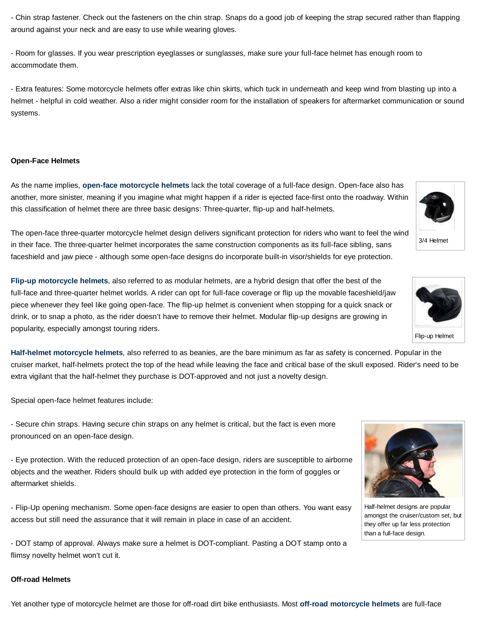- Chin strap fastener. Check out the fasteners on the chin strap. Snaps do a good job of keeping the strap secured rather than flapping around against your neck and are easy to use while wearing gloves.

- Room for glasses. If you wear prescription eyeglasses or sunglasses, make sure your full-face helmet has enough room to accommodate them.

- Extra features: Some motorcycle helmets offer extras like chin skirts, which tuck in underneath and keep wind from blasting up into a helmet - helpful in cold weather. Also a rider might consider room for the installation of speakers for aftermarket communication or sound systems.

### **Open-Face Helmets**

As the name implies, **open-face motorcycle helmets** lack the total coverage of a full-face design. Open-face also has another, more sinister, meaning if you imagine what might happen if a rider is ejected face-first onto the roadway. Within this classification of helmet there are three basic designs: Three-quarter, flip-up and half-helmets.

The open-face three-quarter motorcycle helmet design delivers significant protection for riders who want to feel the wind in their face. The three-quarter helmet incorporates the same construction components as its full-face sibling, sans faceshield and jaw piece - although some open-face designs do incorporate built-in visor/shields for eye protection.

**Flip-up motorcycle helmets**, also referred to as modular helmets, are a hybrid design that offer the best of the full-face and three-quarter helmet worlds. A rider can opt for full-face coverage or flip up the movable faceshield/jaw piece whenever they feel like going open-face. The flip-up helmet is convenient when stopping for a quick snack or drink, or to snap a photo, as the rider doesn't have to remove their helmet. Modular flip-up designs are growing in popularity, especially amongst touring riders.

**Half-helmet motorcycle helmets**, also referred to as beanies, are the bare minimum as far as safety is concerned. Popular in the cruiser market, half-helmets protect the top of the head while leaving the face and critical base of the skull exposed. Rider's need to be extra vigilant that the half-helmet they purchase is DOT-approved and not just a novelty design.

Special open-face helmet features include:

- Secure chin straps. Having secure chin straps on any helmet is critical, but the fact is even more pronounced on an open-face design.

- Eye protection. With the reduced protection of an open-face design, riders are susceptible to airborne objects and the weather. Riders should bulk up with added eye protection in the form of goggles or aftermarket shields.

- Flip-Up opening mechanism. Some open-face designs are easier to open than others. You want easy access but still need the assurance that it will remain in place in case of an accident.

- DOT stamp of approval. Always make sure a helmet is DOT-compliant. Pasting a DOT stamp onto a flimsy novelty helmet won't cut it.

# **Off-road Helmets**

Yet another type of motorcycle helmet are those for off-road dirt bike enthusiasts. Most **off-road motorcycle helmets** are full-face





amongst the cruiser/custom set, but they offer up far less protection than a full-face design.



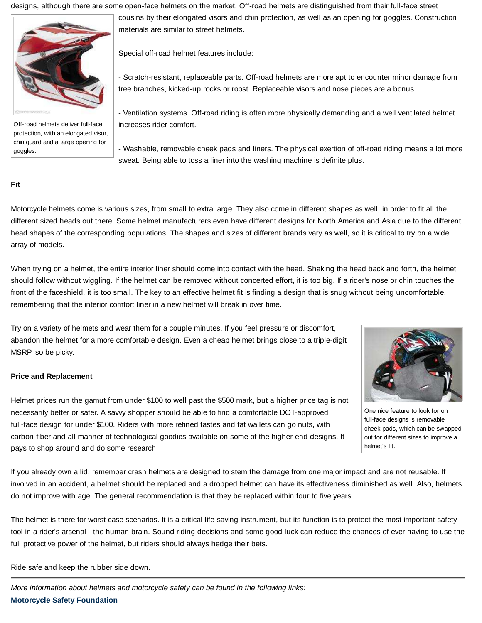designs, although there are some open-face helmets on the market. Off-road helmets are distinguished from their full-face street



Off-road helmets deliver full-face protection, with an elongated visor, chin guard and a large opening for goggles.

cousins by their elongated visors and chin protection, as well as an opening for goggles. Construction materials are similar to street helmets.

Special off-road helmet features include:

- Scratch-resistant, replaceable parts. Off-road helmets are more apt to encounter minor damage from tree branches, kicked-up rocks or roost. Replaceable visors and nose pieces are a bonus.

- Ventilation systems. Off-road riding is often more physically demanding and a well ventilated helmet increases rider comfort.

- Washable, removable cheek pads and liners. The physical exertion of off-road riding means a lot more sweat. Being able to toss a liner into the washing machine is definite plus.

# **Fit**

Motorcycle helmets come is various sizes, from small to extra large. They also come in different shapes as well, in order to fit all the different sized heads out there. Some helmet manufacturers even have different designs for North America and Asia due to the different head shapes of the corresponding populations. The shapes and sizes of different brands vary as well, so it is critical to try on a wide array of models.

When trying on a helmet, the entire interior liner should come into contact with the head. Shaking the head back and forth, the helmet should follow without wiggling. If the helmet can be removed without concerted effort, it is too big. If a rider's nose or chin touches the front of the faceshield, it is too small. The key to an effective helmet fit is finding a design that is snug without being uncomfortable, remembering that the interior comfort liner in a new helmet will break in over time.

Try on a variety of helmets and wear them for a couple minutes. If you feel pressure or discomfort, abandon the helmet for a more comfortable design. Even a cheap helmet brings close to a triple-digit MSRP, so be picky.

### **Price and Replacement**

Helmet prices run the gamut from under \$100 to well past the \$500 mark, but a higher price tag is not necessarily better or safer. A savvy shopper should be able to find a comfortable DOT-approved full-face design for under \$100. Riders with more refined tastes and fat wallets can go nuts, with carbon-fiber and all manner of technological goodies available on some of the higher-end designs. It pays to shop around and do some research.



One nice feature to look for on full-face designs is removable cheek pads, which can be swapped out for different sizes to improve a helmet's fit.

If you already own a lid, remember crash helmets are designed to stem the damage from one major impact and are not reusable. If involved in an accident, a helmet should be replaced and a dropped helmet can have its effectiveness diminished as well. Also, helmets do not improve with age. The general recommendation is that they be replaced within four to five years.

The helmet is there for worst case scenarios. It is a critical life-saving instrument, but its function is to protect the most important safety tool in a rider's arsenal - the human brain. Sound riding decisions and some good luck can reduce the chances of ever having to use the full protective power of the helmet, but riders should always hedge their bets.

Ride safe and keep the rubber side down.

More information about helmets and motorcycle safety can be found in the following links: **Motorcycle Safety Foundation**